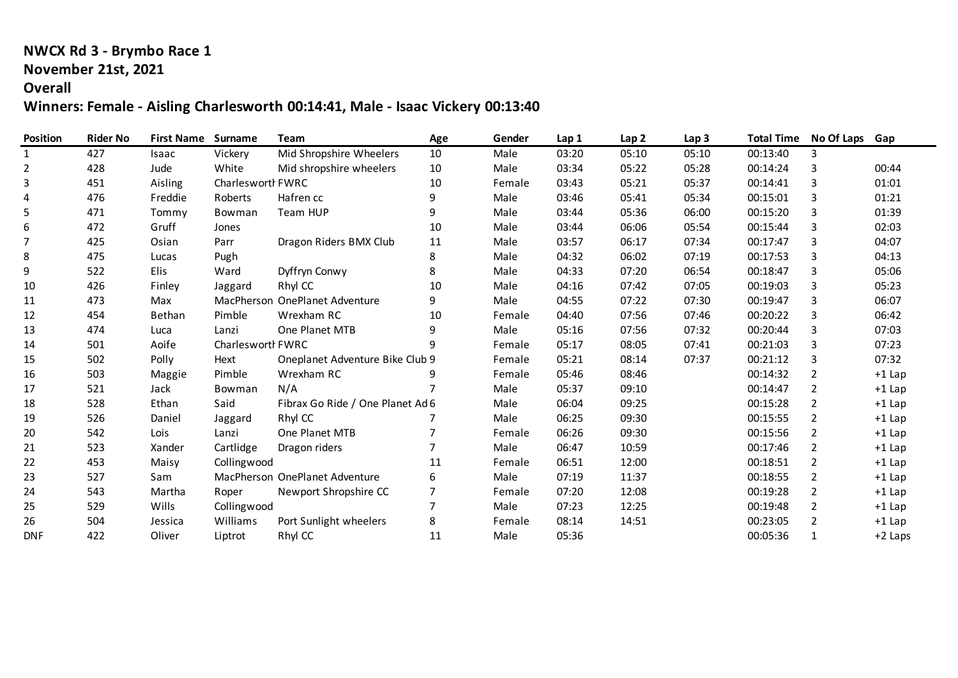## **NWCX Rd 3 - Brymbo Race 1**

#### **November 21st, 2021**

## **Overall**

## **Winners: Female - Aisling Charlesworth 00:14:41, Male - Isaac Vickery 00:13:40**

| <b>Position</b> | <b>Rider No</b> | <b>First Name</b> | Surname           | Team                             | Age            | Gender | Lap 1 | Lap <sub>2</sub> | Lap <sub>3</sub> | <b>Total Time</b> | No Of Laps Gap |          |
|-----------------|-----------------|-------------------|-------------------|----------------------------------|----------------|--------|-------|------------------|------------------|-------------------|----------------|----------|
| 1               | 427             | Isaac             | Vickery           | Mid Shropshire Wheelers          | 10             | Male   | 03:20 | 05:10            | 05:10            | 00:13:40          | 3              |          |
| $\overline{2}$  | 428             | Jude              | White             | Mid shropshire wheelers          | 10             | Male   | 03:34 | 05:22            | 05:28            | 00:14:24          | 3              | 00:44    |
| 3               | 451             | Aisling           | Charleswortl FWRC |                                  | 10             | Female | 03:43 | 05:21            | 05:37            | 00:14:41          | 3              | 01:01    |
| 4               | 476             | Freddie           | Roberts           | Hafren cc                        | 9              | Male   | 03:46 | 05:41            | 05:34            | 00:15:01          | 3              | 01:21    |
| 5               | 471             | Tommy             | Bowman            | Team HUP                         | 9              | Male   | 03:44 | 05:36            | 06:00            | 00:15:20          | 3              | 01:39    |
| 6               | 472             | Gruff             | Jones             |                                  | 10             | Male   | 03:44 | 06:06            | 05:54            | 00:15:44          | 3              | 02:03    |
| 7               | 425             | Osian             | Parr              | Dragon Riders BMX Club           | 11             | Male   | 03:57 | 06:17            | 07:34            | 00:17:47          | 3              | 04:07    |
| 8               | 475             | Lucas             | Pugh              |                                  | 8              | Male   | 04:32 | 06:02            | 07:19            | 00:17:53          | 3              | 04:13    |
| 9               | 522             | Elis              | Ward              | Dyffryn Conwy                    | 8              | Male   | 04:33 | 07:20            | 06:54            | 00:18:47          | 3              | 05:06    |
| 10              | 426             | Finley            | Jaggard           | Rhyl CC                          | 10             | Male   | 04:16 | 07:42            | 07:05            | 00:19:03          | 3              | 05:23    |
| 11              | 473             | Max               |                   | MacPherson OnePlanet Adventure   | 9              | Male   | 04:55 | 07:22            | 07:30            | 00:19:47          | 3              | 06:07    |
| 12              | 454             | Bethan            | Pimble            | Wrexham RC                       | 10             | Female | 04:40 | 07:56            | 07:46            | 00:20:22          | 3              | 06:42    |
| 13              | 474             | Luca              | Lanzi             | One Planet MTB                   | 9              | Male   | 05:16 | 07:56            | 07:32            | 00:20:44          | 3              | 07:03    |
| 14              | 501             | Aoife             | Charlesworth FWRC |                                  |                | Female | 05:17 | 08:05            | 07:41            | 00:21:03          | 3              | 07:23    |
| 15              | 502             | Polly             | Hext              | Oneplanet Adventure Bike Club 9  |                | Female | 05:21 | 08:14            | 07:37            | 00:21:12          | 3              | 07:32    |
| 16              | 503             | Maggie            | Pimble            | Wrexham RC                       |                | Female | 05:46 | 08:46            |                  | 00:14:32          | 2              | $+1$ Lap |
| 17              | 521             | Jack              | Bowman            | N/A                              |                | Male   | 05:37 | 09:10            |                  | 00:14:47          | $\overline{2}$ | $+1$ Lap |
| 18              | 528             | Ethan             | Said              | Fibrax Go Ride / One Planet Ad 6 |                | Male   | 06:04 | 09:25            |                  | 00:15:28          | 2              | $+1$ Lap |
| 19              | 526             | Daniel            | Jaggard           | Rhyl CC                          |                | Male   | 06:25 | 09:30            |                  | 00:15:55          | 2              | $+1$ Lap |
| 20              | 542             | Lois              | Lanzi             | One Planet MTB                   | 7              | Female | 06:26 | 09:30            |                  | 00:15:56          | $\overline{2}$ | $+1$ Lap |
| 21              | 523             | Xander            | Cartlidge         | Dragon riders                    | $\overline{7}$ | Male   | 06:47 | 10:59            |                  | 00:17:46          | $\overline{2}$ | $+1$ Lap |
| 22              | 453             | Maisy             | Collingwood       |                                  | 11             | Female | 06:51 | 12:00            |                  | 00:18:51          | 2              | $+1$ Lap |
| 23              | 527             | Sam               |                   | MacPherson OnePlanet Adventure   | 6              | Male   | 07:19 | 11:37            |                  | 00:18:55          | 2              | $+1$ Lap |
| 24              | 543             | Martha            | Roper             | Newport Shropshire CC            | $\overline{7}$ | Female | 07:20 | 12:08            |                  | 00:19:28          | $\overline{2}$ | $+1$ Lap |
| 25              | 529             | Wills             | Collingwood       |                                  | 7              | Male   | 07:23 | 12:25            |                  | 00:19:48          | 2              | $+1$ Lap |
| 26              | 504             | Jessica           | Williams          | Port Sunlight wheelers           | 8              | Female | 08:14 | 14:51            |                  | 00:23:05          | 2              | $+1$ Lap |
| <b>DNF</b>      | 422             | Oliver            | Liptrot           | Rhyl CC                          | 11             | Male   | 05:36 |                  |                  | 00:05:36          |                | +2 Laps  |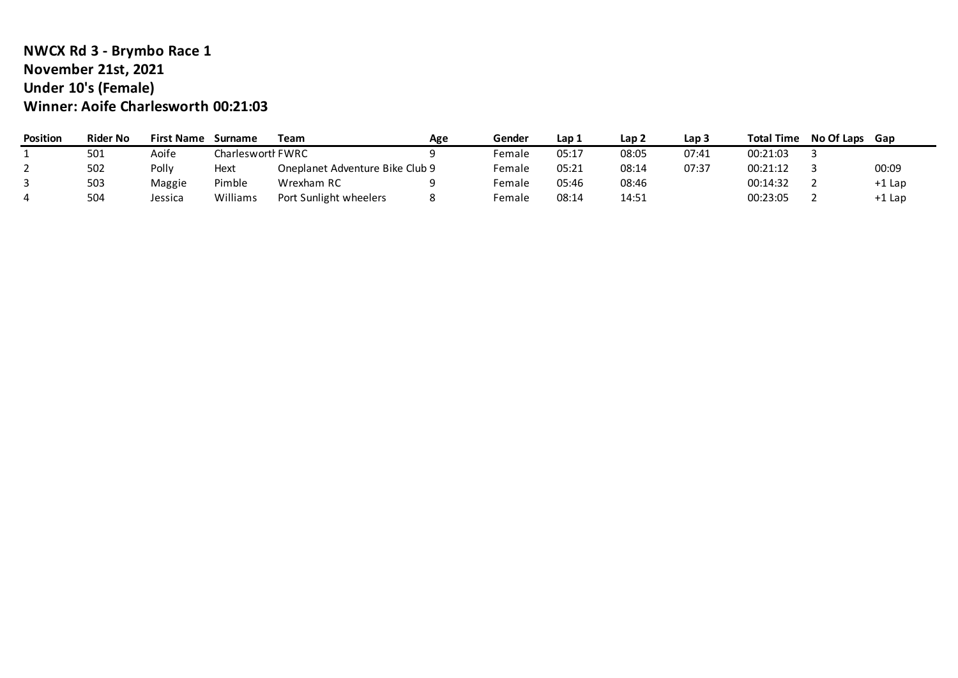#### **NWCX Rd 3 - Brymbo Race 1 November 21st, 2021 Under 10's (Female) Winner: Aoife Charlesworth 00:21:03**

| <b>Position</b> | <b>Rider No</b> | <b>First Name</b> | Surname           | Team                            | Age | Gender | Lap 1 | Lap 2 | Lap 3 | <b>Total Time</b> | <b>No Of Laps</b> | Gap      |
|-----------------|-----------------|-------------------|-------------------|---------------------------------|-----|--------|-------|-------|-------|-------------------|-------------------|----------|
|                 | 501             | Aoife             | Charlesworth FWRC |                                 |     | Female | 05:17 | 08:05 | 07:41 | 00:21:03          |                   |          |
|                 | 502             | Pollv             | Hext              | Oneplanet Adventure Bike Club 9 |     | Female | 05:21 | 08:14 | 07:37 | 00:21:12          |                   | 00:09    |
|                 | 503             | Maggie            | Pimble            | Wrexham RC                      |     | Female | 05:46 | 08:46 |       | 00:14:32          |                   | $+1$ Lap |
|                 | 504             | Jessica           | Williams          | Port Sunlight wheelers          |     | Female | 08:14 | 14:51 |       | 00:23:05          |                   | $+1$ Lap |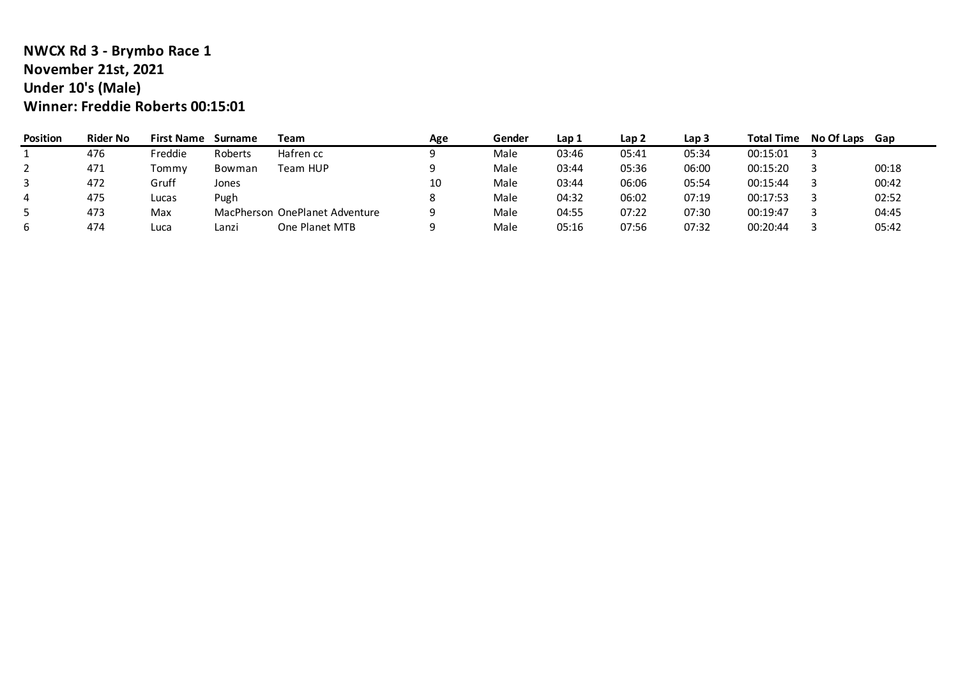#### **NWCX Rd 3 - Brymbo Race 1 November 21st, 2021 Under 10's (Male) Winner: Freddie Roberts 00:15:01**

| <b>Position</b> | <b>Rider No</b> | <b>First Name</b> | Surname | Team                           | Age | Gender | Lap 1 | Lap 2 | Lap <sub>3</sub> | <b>Total Time</b> | <b>No Of Laps</b> | Gap   |
|-----------------|-----------------|-------------------|---------|--------------------------------|-----|--------|-------|-------|------------------|-------------------|-------------------|-------|
|                 | 476             | Freddie           | Roberts | Hafren cc                      |     | Male   | 03:46 | 05:41 | 05:34            | 00:15:01          |                   |       |
|                 | 471             | Tommv             | Bowman  | Team HUP                       |     | Male   | 03:44 | 05:36 | 06:00            | 00:15:20          |                   | 00:18 |
| 3               | 472             | Gruff             | Jones   |                                | 10  | Male   | 03:44 | 06:06 | 05:54            | 00:15:44          |                   | 00:42 |
| 4               | 475             | Lucas             | Pugh    |                                |     | Male   | 04:32 | 06:02 | 07:19            | 00:17:53          |                   | 02:52 |
|                 | 473             | Max               |         | MacPherson OnePlanet Adventure |     | Male   | 04:55 | 07:22 | 07:30            | 00:19:47          |                   | 04:45 |
| b               | 474             | Luca              | Lanzi   | One Planet MTB                 |     | Male   | 05:16 | 07:56 | 07:32            | 00:20:44          |                   | 05:42 |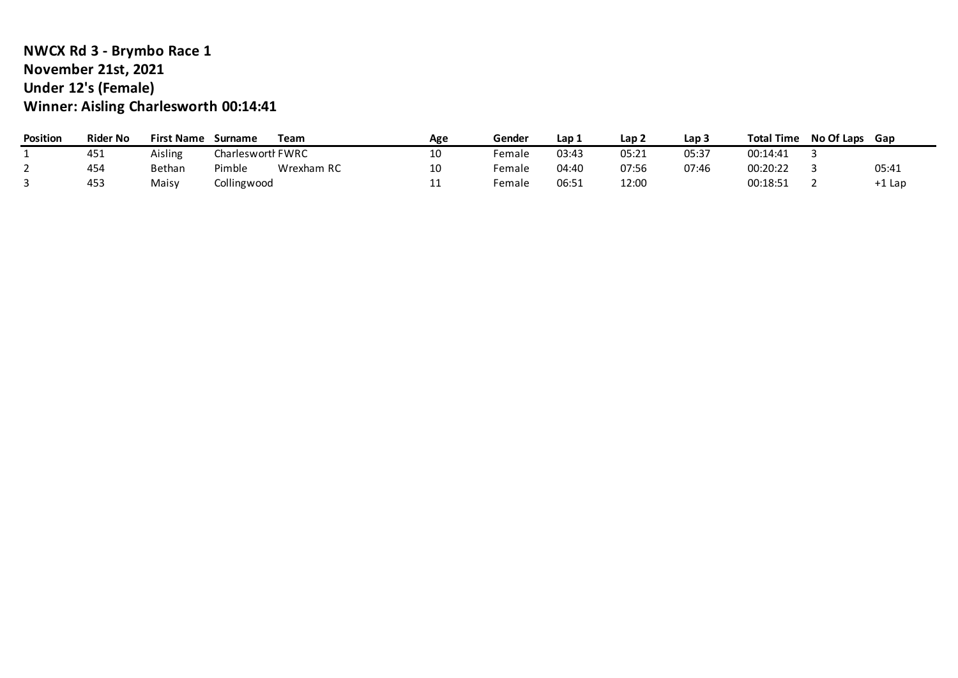## **NWCX Rd 3 - Brymbo Race 1 November 21st, 2021 Under 12's (Female) Winner: Aisling Charlesworth 00:14:41**

| <b>Position</b> | Rider No | <b>First Name</b> | Surname           | Team       | Age | Gender | Lap 1 | Lap 2 | Lap 5 | <b>Total Time</b> | No Of Laps | Gap      |
|-----------------|----------|-------------------|-------------------|------------|-----|--------|-------|-------|-------|-------------------|------------|----------|
|                 | 451      | Aisling           | Charlesworth FWRC |            | 10  | Female | 03:43 | 05:21 | 05:37 | 00:14:41          |            |          |
|                 | 454      | Bethan            | Pimble            | Wrexham RC | 10  | Female | 04:40 | 07:56 | 07:46 | 00:20:22          |            | 05:41    |
|                 | 453      | Maisy             | Collingwood       |            | . . | Female | 06:51 | 12:00 |       | 00:18:51          |            | $+1$ Lap |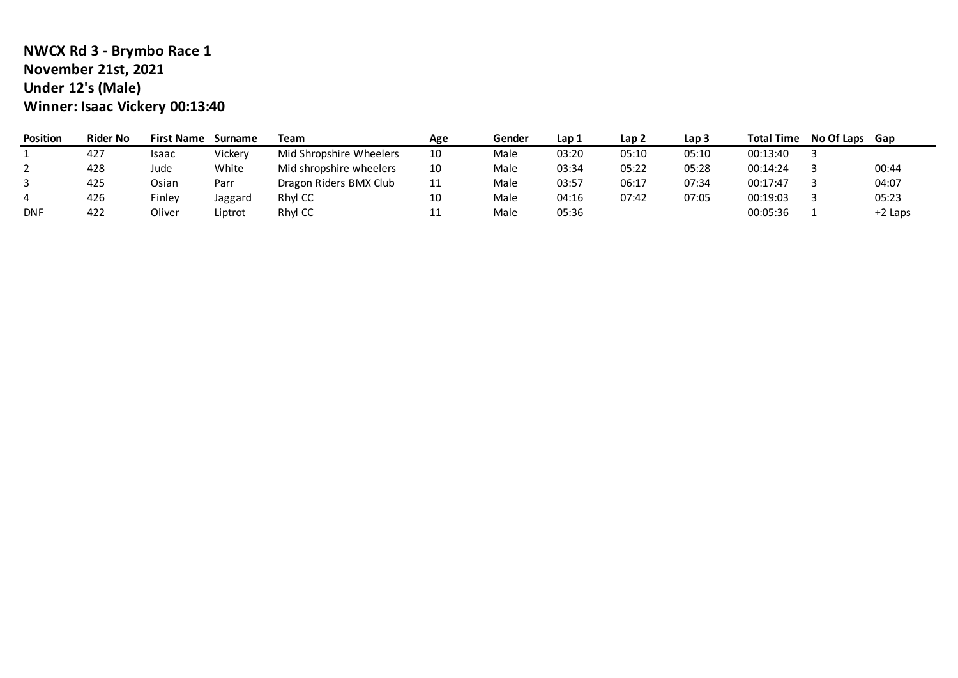# **NWCX Rd 3 - Brymbo Race 1 November 21st, 2021 Under 12's (Male) Winner: Isaac Vickery 00:13:40**

| Position   | <b>Rider No</b> | <b>First Name</b> | Surname | Team                    | Age        | Gender | Lap 1 | Lap 2 | Lap 3 | <b>Total Time</b> | No Of Laps | Gap       |
|------------|-----------------|-------------------|---------|-------------------------|------------|--------|-------|-------|-------|-------------------|------------|-----------|
|            | 427             | Isaac             | Vickery | Mid Shropshire Wheelers | 10         | Male   | 03:20 | 05:10 | 05:10 | 00:13:40          |            |           |
|            | 428             | Jude              | White   | Mid shropshire wheelers | 10         | Male   | 03:34 | 05:22 | 05:28 | 00:14:24          |            | 00:44     |
|            | 425             | Osian             | Parr    | Dragon Riders BMX Club  | 11         | Male   | 03:57 | 06:17 | 07:34 | 00:17:47          |            | 04:07     |
|            | 426             | Finley            | Jaggard | Rhyl CC                 | 10         | Male   | 04:16 | 07:42 | 07:05 | 00:19:03          |            | 05:23     |
| <b>DNF</b> | 422             | Oliver            | Liptrot | Rhyl CC                 | <b>. .</b> | Male   | 05:36 |       |       | 00:05:36          |            | $+2$ Laps |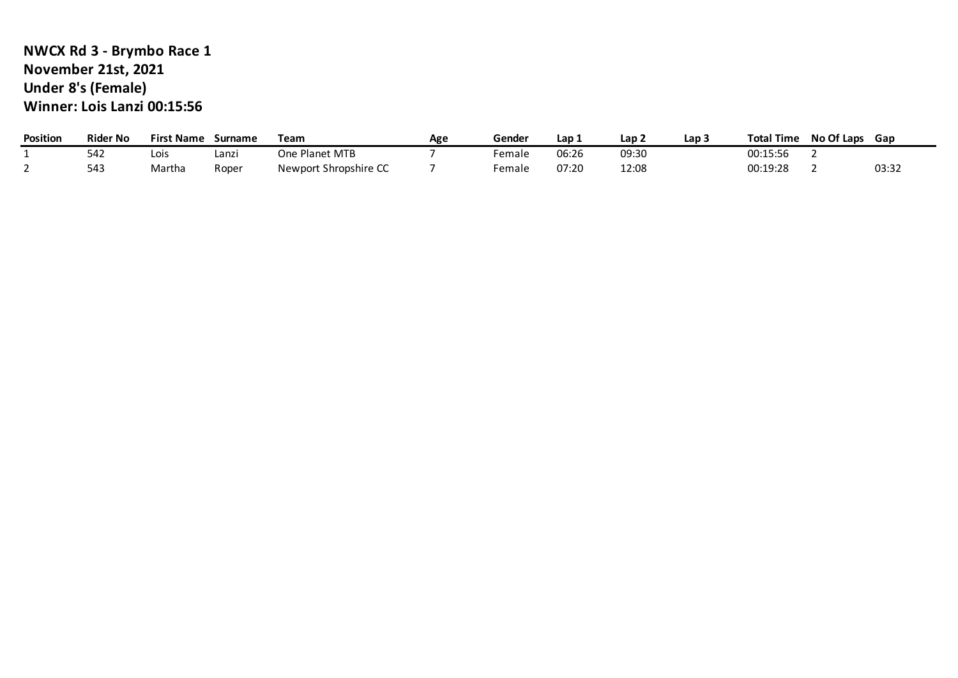## **NWCX Rd 3 - Brymbo Race 1 November 21st, 2021 Under 8's (Female) Winner: Lois Lanzi 00:15:56**

| Position | <b>Rider No</b> | <b>First Name</b> | Surname | Team                  | Age | Gender | Lap 1 | Lap 2 | Lap 3 | <b>Total Time</b> | No Of Laps | Gap   |
|----------|-----------------|-------------------|---------|-----------------------|-----|--------|-------|-------|-------|-------------------|------------|-------|
|          | 542             | Lois              | Lanz    | One Planet MTB        |     | Female | 06:26 | 09:30 |       | 00:15:56          |            |       |
|          | 543             | Martha            | Roper   | Newport Shropshire CC |     | Female | 07:20 | 12:08 |       | 00:19:28          |            | 03:32 |